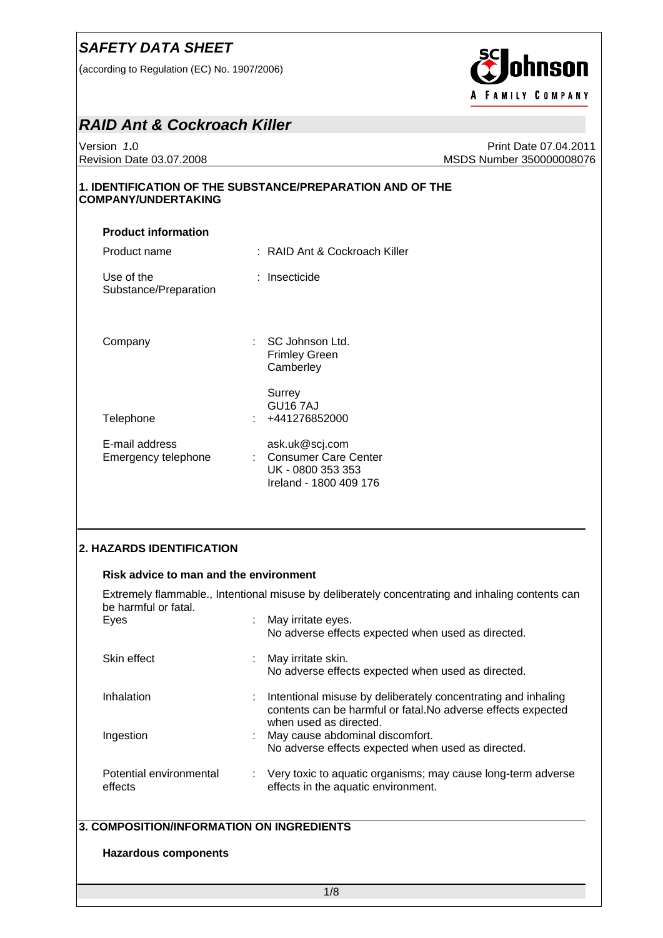(according to Regulation (EC) No. 1907/2006)



## *RAID Ant & Cockroach Killer*

Version *1***.**0 Print Date 07.04.2011 Revision Date 03.07.2008 MSDS Number 350000008076

### **1. IDENTIFICATION OF THE SUBSTANCE/PREPARATION AND OF THE COMPANY/UNDERTAKING**

| <b>Product information</b>            |                                                                                         |
|---------------------------------------|-----------------------------------------------------------------------------------------|
| Product name                          | : RAID Ant & Cockroach Killer                                                           |
| Use of the<br>Substance/Preparation   | : Insecticide                                                                           |
| Company                               | $\therefore$ SC Johnson Ltd.<br><b>Frimley Green</b><br>Camberley                       |
| Telephone                             | Surrey<br><b>GU167AJ</b><br>: 4441276852000                                             |
| E-mail address<br>Emergency telephone | ask.uk@scj.com<br>: Consumer Care Center<br>UK - 0800 353 353<br>Ireland - 1800 409 176 |

### **2. HAZARDS IDENTIFICATION**

#### **Risk advice to man and the environment**

Extremely flammable., Intentional misuse by deliberately concentrating and inhaling contents can be harmful or fatal.

| Eyes                               | May irritate eyes.<br>No adverse effects expected when used as directed.                                                                                 |
|------------------------------------|----------------------------------------------------------------------------------------------------------------------------------------------------------|
| Skin effect                        | May irritate skin.<br>÷<br>No adverse effects expected when used as directed.                                                                            |
| Inhalation                         | Intentional misuse by deliberately concentrating and inhaling<br>contents can be harmful or fatal. No adverse effects expected<br>when used as directed. |
| Ingestion                          | May cause abdominal discomfort.<br>÷<br>No adverse effects expected when used as directed.                                                               |
| Potential environmental<br>effects | Very toxic to aquatic organisms; may cause long-term adverse<br>÷.<br>effects in the aquatic environment.                                                |

### **3. COMPOSITION/INFORMATION ON INGREDIENTS**

#### **Hazardous components**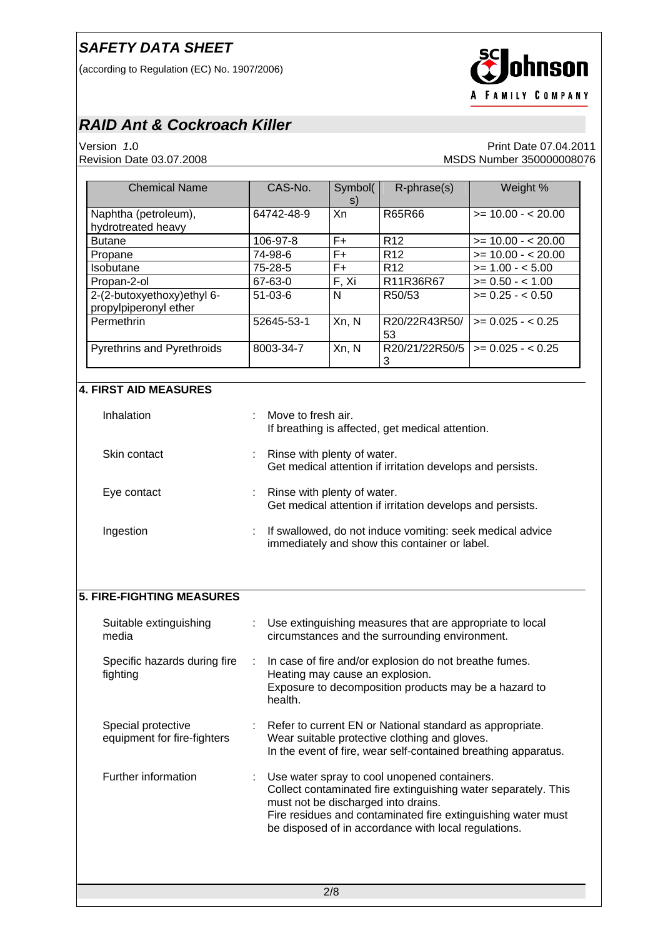(according to Regulation (EC) No. 1907/2006)



# *RAID Ant & Cockroach Killer*

Version *1***.**0 Print Date 07.04.2011 MSDS Number 350000008076

| <b>Chemical Name</b>                                | CAS-No.    | Symbol(<br>S) | $R$ -phrase $(s)$                               | Weight %           |
|-----------------------------------------------------|------------|---------------|-------------------------------------------------|--------------------|
| Naphtha (petroleum),<br>hydrotreated heavy          | 64742-48-9 | Xn            | R65R66                                          | $>= 10.00 - 20.00$ |
| <b>Butane</b>                                       | 106-97-8   | F+            | R <sub>12</sub>                                 | $>= 10.00 - 20.00$ |
| Propane                                             | 74-98-6    | F+            | R <sub>12</sub>                                 | $>= 10.00 - 20.00$ |
| <b>Isobutane</b>                                    | 75-28-5    | F+            | R <sub>12</sub>                                 | $>= 1.00 - 5.00$   |
| Propan-2-ol                                         | 67-63-0    | F, Xi         | R <sub>11</sub> R <sub>36</sub> R <sub>67</sub> | $>= 0.50 - 1.00$   |
| 2-(2-butoxyethoxy)ethyl 6-<br>propylpiperonyl ether | $51-03-6$  | N             | R50/53                                          | $>= 0.25 - 0.50$   |
| Permethrin                                          | 52645-53-1 | Xn, N         | R20/22R43R50/<br>53                             | $>= 0.025 - 0.25$  |
| Pyrethrins and Pyrethroids                          | 8003-34-7  | Xn, N         | R20/21/22R50/5<br>3                             | $>= 0.025 - 0.25$  |

### **4. FIRST AID MEASURES**

| Inhalation   | ÷. | Move to fresh air.<br>If breathing is affected, get medical attention.                                     |
|--------------|----|------------------------------------------------------------------------------------------------------------|
| Skin contact |    | : Rinse with plenty of water.<br>Get medical attention if irritation develops and persists.                |
| Eye contact  |    | : Rinse with plenty of water.<br>Get medical attention if irritation develops and persists.                |
| Ingestion    | t. | If swallowed, do not induce vomiting: seek medical advice<br>immediately and show this container or label. |

### **5. FIRE-FIGHTING MEASURES**

| Suitable extinguishing<br>media                   | : Use extinguishing measures that are appropriate to local<br>circumstances and the surrounding environment.                                                                                                                                                                    |
|---------------------------------------------------|---------------------------------------------------------------------------------------------------------------------------------------------------------------------------------------------------------------------------------------------------------------------------------|
| Specific hazards during fire<br>fighting          | : In case of fire and/or explosion do not breathe fumes.<br>Heating may cause an explosion.<br>Exposure to decomposition products may be a hazard to<br>health.                                                                                                                 |
| Special protective<br>equipment for fire-fighters | : Refer to current EN or National standard as appropriate.<br>Wear suitable protective clothing and gloves.<br>In the event of fire, wear self-contained breathing apparatus.                                                                                                   |
| Further information                               | : Use water spray to cool unopened containers.<br>Collect contaminated fire extinguishing water separately. This<br>must not be discharged into drains.<br>Fire residues and contaminated fire extinguishing water must<br>be disposed of in accordance with local regulations. |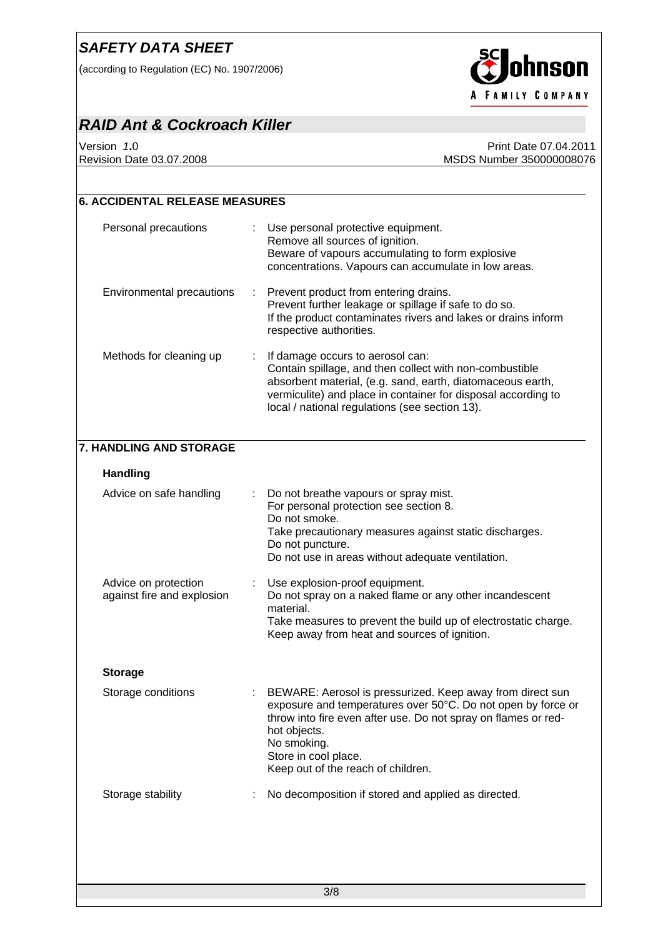(according to Regulation (EC) No. 1907/2006)



# *RAID Ant & Cockroach Killer*

Version *1***.**0 Print Date 07.04.2011 MSDS Number 350000008076

|                                                    | <b>6. ACCIDENTAL RELEASE MEASURES</b>                                                                                                                                                                                                                                                    |
|----------------------------------------------------|------------------------------------------------------------------------------------------------------------------------------------------------------------------------------------------------------------------------------------------------------------------------------------------|
| Personal precautions                               | Use personal protective equipment.<br>Remove all sources of ignition.<br>Beware of vapours accumulating to form explosive<br>concentrations. Vapours can accumulate in low areas.                                                                                                        |
| Environmental precautions                          | Prevent product from entering drains.<br>Prevent further leakage or spillage if safe to do so.<br>If the product contaminates rivers and lakes or drains inform<br>respective authorities.                                                                                               |
| Methods for cleaning up                            | If damage occurs to aerosol can:<br>Contain spillage, and then collect with non-combustible<br>absorbent material, (e.g. sand, earth, diatomaceous earth,<br>vermiculite) and place in container for disposal according to<br>local / national regulations (see section 13).             |
| 7. HANDLING AND STORAGE                            |                                                                                                                                                                                                                                                                                          |
| <b>Handling</b>                                    |                                                                                                                                                                                                                                                                                          |
| Advice on safe handling                            | Do not breathe vapours or spray mist.<br>For personal protection see section 8.<br>Do not smoke.<br>Take precautionary measures against static discharges.<br>Do not puncture.<br>Do not use in areas without adequate ventilation.                                                      |
|                                                    |                                                                                                                                                                                                                                                                                          |
| Advice on protection<br>against fire and explosion | Use explosion-proof equipment.<br>Do not spray on a naked flame or any other incandescent<br>material.<br>Take measures to prevent the build up of electrostatic charge.<br>Keep away from heat and sources of ignition.                                                                 |
| <b>Storage</b>                                     |                                                                                                                                                                                                                                                                                          |
| Storage conditions                                 | BEWARE: Aerosol is pressurized. Keep away from direct sun<br>exposure and temperatures over 50°C. Do not open by force or<br>throw into fire even after use. Do not spray on flames or red-<br>hot objects.<br>No smoking.<br>Store in cool place.<br>Keep out of the reach of children. |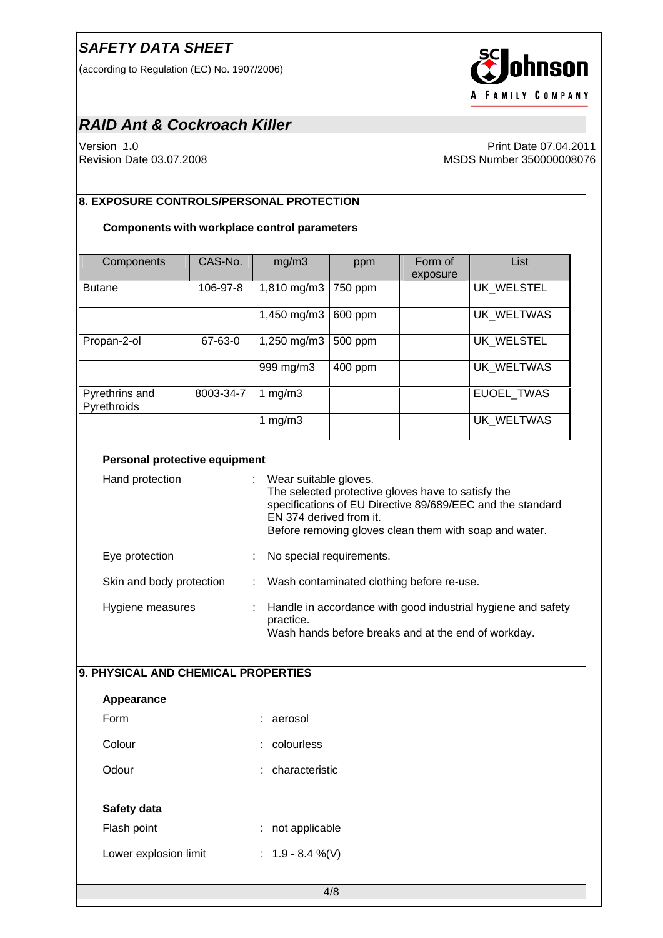(according to Regulation (EC) No. 1907/2006)



# *RAID Ant & Cockroach Killer*

Version *1***.**0 Print Date 07.04.2011 Revision Date 03.07.2008 MSDS Number 350000008076

### **8. EXPOSURE CONTROLS/PERSONAL PROTECTION**

#### **Components with workplace control parameters**

| Components                    | CAS-No.                | mg/m3                 | ppm     | Form of<br>exposure | List              |
|-------------------------------|------------------------|-----------------------|---------|---------------------|-------------------|
| <b>Butane</b>                 | 106-97-8               | $1,810 \text{ mg/m}3$ | 750 ppm |                     | UK WELSTEL        |
|                               |                        | 1,450 mg/m3           | 600 ppm |                     | UK WELTWAS        |
| Propan-2-ol                   | 67-63-0<br>1,250 mg/m3 |                       | 500 ppm |                     | UK WELSTEL        |
|                               |                        | 999 mg/m3             | 400 ppm |                     | UK WELTWAS        |
| Pyrethrins and<br>Pyrethroids | 8003-34-7              | 1 mg/m $3$            |         |                     | <b>EUOEL TWAS</b> |
|                               |                        | 1 mg/m $3$            |         |                     | UK WELTWAS        |

#### **Personal protective equipment**

| Hand protection          | : Wear suitable gloves.<br>The selected protective gloves have to satisfy the<br>specifications of EU Directive 89/689/EEC and the standard<br>EN 374 derived from it.<br>Before removing gloves clean them with soap and water. |
|--------------------------|----------------------------------------------------------------------------------------------------------------------------------------------------------------------------------------------------------------------------------|
| Eye protection           | No special requirements.                                                                                                                                                                                                         |
| Skin and body protection | : Wash contaminated clothing before re-use.                                                                                                                                                                                      |
| Hygiene measures         | : Handle in accordance with good industrial hygiene and safety<br>practice.<br>Wash hands before breaks and at the end of workday.                                                                                               |

### **9. PHYSICAL AND CHEMICAL PROPERTIES**

| Appearance            |                      |
|-----------------------|----------------------|
| Form                  | : aerosol            |
| Colour                | $:$ colourless       |
| Odour                 | : characteristic     |
|                       |                      |
| Safety data           |                      |
| Flash point           | not applicable<br>÷. |
| Lower explosion limit | : $1.9 - 8.4 \%$ (V) |
|                       |                      |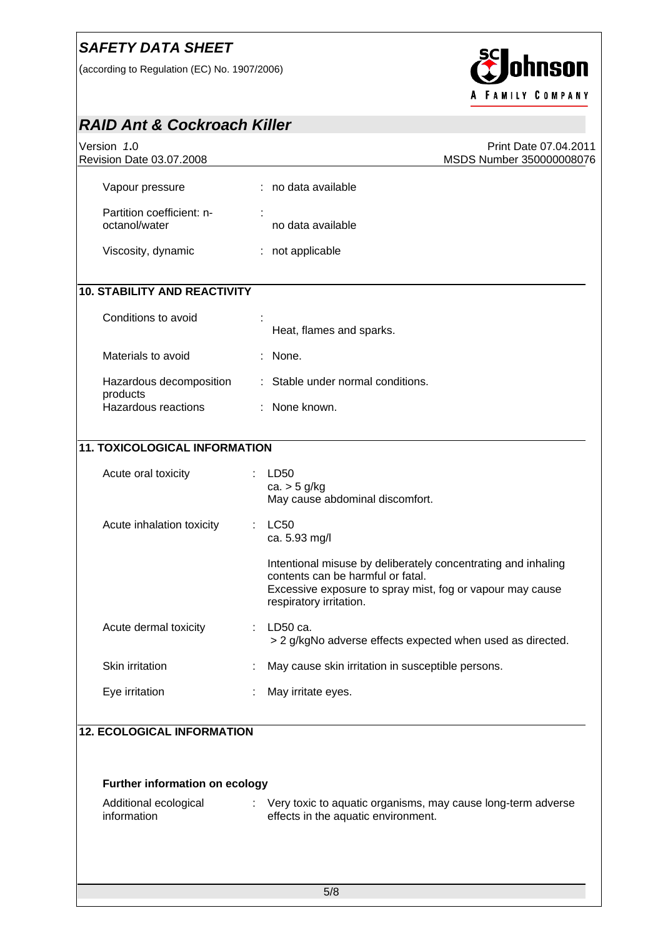(according to Regulation (EC) No. 1907/2006)



### *RAID Ant & Cockroach Killer* Version *1***.**0 Print Date 07.04.2011 Revision Date 03.07.2008 MSDS Number 350000008076 Vapour pressure : no data available Partition coefficient: noctanol/water : no data available Viscosity, dynamic : not applicable **10. STABILITY AND REACTIVITY**  Conditions to avoid Heat, flames and sparks. Materials to avoid **:** None. Hazardous decomposition products : Stable under normal conditions. Hazardous reactions : None known. **11. TOXICOLOGICAL INFORMATION**  Acute oral toxicity : LD50 ca.  $>$  5 g/kg May cause abdominal discomfort. Acute inhalation toxicity : LC50 ca. 5.93 mg/l Intentional misuse by deliberately concentrating and inhaling contents can be harmful or fatal. Excessive exposure to spray mist, fog or vapour may cause respiratory irritation. Acute dermal toxicity : LD50 ca. > 2 g/kgNo adverse effects expected when used as directed. Skin irritation : May cause skin irritation in susceptible persons. Eye irritation : May irritate eyes. **12. ECOLOGICAL INFORMATION Further information on ecology**  Additional ecological information : Very toxic to aquatic organisms, may cause long-term adverse effects in the aquatic environment.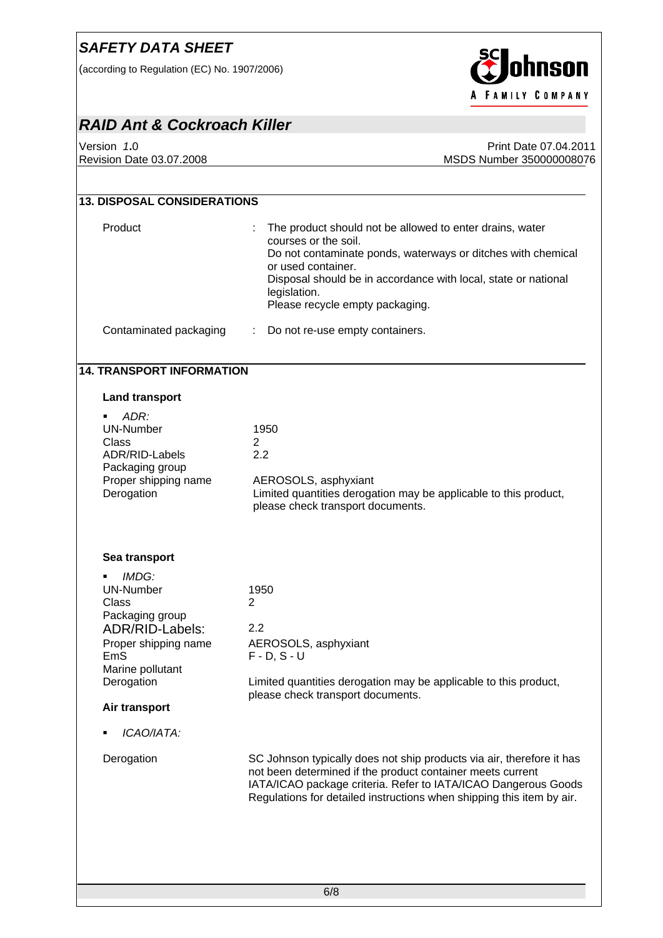(according to Regulation (EC) No. 1907/2006)



## *RAID Ant & Cockroach Killer*

Version *1***.**0 Print Date 07.04.2011 MSDS Number 350000008076

| <b>13. DISPOSAL CONSIDERATIONS</b>                                                                                                                              |                                                                                                                                                                                                                                                                                             |
|-----------------------------------------------------------------------------------------------------------------------------------------------------------------|---------------------------------------------------------------------------------------------------------------------------------------------------------------------------------------------------------------------------------------------------------------------------------------------|
| Product                                                                                                                                                         | The product should not be allowed to enter drains, water<br>courses or the soil.<br>Do not contaminate ponds, waterways or ditches with chemical<br>or used container.<br>Disposal should be in accordance with local, state or national<br>legislation.<br>Please recycle empty packaging. |
| Contaminated packaging                                                                                                                                          | Do not re-use empty containers.<br>÷.                                                                                                                                                                                                                                                       |
| <b>14. TRANSPORT INFORMATION</b>                                                                                                                                |                                                                                                                                                                                                                                                                                             |
| <b>Land transport</b>                                                                                                                                           |                                                                                                                                                                                                                                                                                             |
| ADR:<br><b>UN-Number</b><br>Class<br>ADR/RID-Labels<br>Packaging group<br>Proper shipping name<br>Derogation                                                    | 1950<br>2<br>2.2<br>AEROSOLS, asphyxiant<br>Limited quantities derogation may be applicable to this product,<br>please check transport documents.                                                                                                                                           |
| Sea transport                                                                                                                                                   |                                                                                                                                                                                                                                                                                             |
| IMDG:<br>٠<br><b>UN-Number</b><br>Class<br>Packaging group<br>ADR/RID-Labels:<br>Proper shipping name<br>EmS<br>Marine pollutant<br>Derogation<br>Air transport | 1950<br>$\overline{2}$<br>2.2<br>AEROSOLS, asphyxiant<br>$F - D$ , $S - U$<br>Limited quantities derogation may be applicable to this product,<br>please check transport documents.                                                                                                         |
| ICAO/IATA:<br>٠                                                                                                                                                 |                                                                                                                                                                                                                                                                                             |
| Derogation                                                                                                                                                      | SC Johnson typically does not ship products via air, therefore it has<br>not been determined if the product container meets current<br>IATA/ICAO package criteria. Refer to IATA/ICAO Dangerous Goods<br>Regulations for detailed instructions when shipping this item by air.              |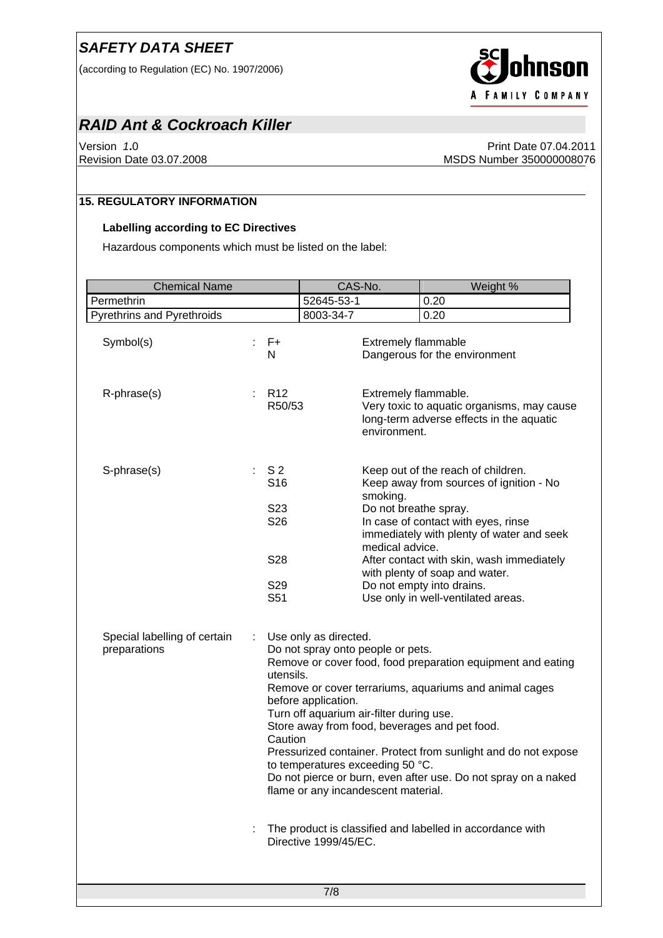(according to Regulation (EC) No. 1907/2006)



# *RAID Ant & Cockroach Killer*

Version *1***.**0 Print Date 07.04.2011 MSDS Number 350000008076

### **15. REGULATORY INFORMATION**

#### **Labelling according to EC Directives**

Hazardous components which must be listed on the label:

| <b>Chemical Name</b>                         |    | CAS-No.                                                                                                                                                                                                                                                                           |                       | Weight %                                             |                                                                                                                                                                                                                                                                                                                     |
|----------------------------------------------|----|-----------------------------------------------------------------------------------------------------------------------------------------------------------------------------------------------------------------------------------------------------------------------------------|-----------------------|------------------------------------------------------|---------------------------------------------------------------------------------------------------------------------------------------------------------------------------------------------------------------------------------------------------------------------------------------------------------------------|
| Permethrin                                   |    |                                                                                                                                                                                                                                                                                   | 52645-53-1            |                                                      | 0.20                                                                                                                                                                                                                                                                                                                |
| Pyrethrins and Pyrethroids                   |    |                                                                                                                                                                                                                                                                                   | 8003-34-7             |                                                      | 0.20                                                                                                                                                                                                                                                                                                                |
| Symbol(s)                                    |    | F+<br>N                                                                                                                                                                                                                                                                           |                       | <b>Extremely flammable</b>                           | Dangerous for the environment                                                                                                                                                                                                                                                                                       |
| R-phrase(s)                                  | ÷  | R <sub>12</sub><br>R50/53                                                                                                                                                                                                                                                         |                       | Extremely flammable.<br>environment.                 | Very toxic to aquatic organisms, may cause<br>long-term adverse effects in the aquatic                                                                                                                                                                                                                              |
| S-phrase(s)                                  | t. | S <sub>2</sub><br>S <sub>16</sub><br>S <sub>23</sub><br>S26<br>S28<br>S29<br>S51                                                                                                                                                                                                  |                       | smoking.<br>Do not breathe spray.<br>medical advice. | Keep out of the reach of children.<br>Keep away from sources of ignition - No<br>In case of contact with eyes, rinse<br>immediately with plenty of water and seek<br>After contact with skin, wash immediately<br>with plenty of soap and water.<br>Do not empty into drains.<br>Use only in well-ventilated areas. |
| Special labelling of certain<br>preparations |    | Use only as directed.<br>Do not spray onto people or pets.<br>utensils.<br>before application.<br>Turn off aquarium air-filter during use.<br>Store away from food, beverages and pet food.<br>Caution<br>to temperatures exceeding 50 °C.<br>flame or any incandescent material. |                       |                                                      | Remove or cover food, food preparation equipment and eating<br>Remove or cover terrariums, aquariums and animal cages<br>Pressurized container. Protect from sunlight and do not expose<br>Do not pierce or burn, even after use. Do not spray on a naked                                                           |
|                                              |    |                                                                                                                                                                                                                                                                                   | Directive 1999/45/EC. |                                                      | The product is classified and labelled in accordance with                                                                                                                                                                                                                                                           |
|                                              |    |                                                                                                                                                                                                                                                                                   | 7/8                   |                                                      |                                                                                                                                                                                                                                                                                                                     |